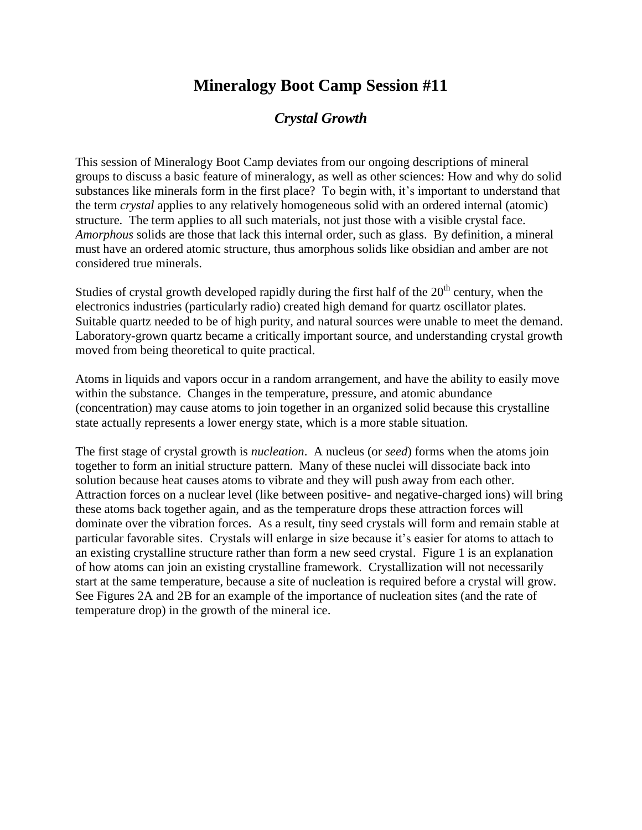## **Mineralogy Boot Camp Session #11**

## *Crystal Growth*

This session of Mineralogy Boot Camp deviates from our ongoing descriptions of mineral groups to discuss a basic feature of mineralogy, as well as other sciences: How and why do solid substances like minerals form in the first place? To begin with, it's important to understand that the term *crystal* applies to any relatively homogeneous solid with an ordered internal (atomic) structure. The term applies to all such materials, not just those with a visible crystal face. *Amorphous* solids are those that lack this internal order, such as glass. By definition, a mineral must have an ordered atomic structure, thus amorphous solids like obsidian and amber are not considered true minerals.

Studies of crystal growth developed rapidly during the first half of the  $20<sup>th</sup>$  century, when the electronics industries (particularly radio) created high demand for quartz oscillator plates. Suitable quartz needed to be of high purity, and natural sources were unable to meet the demand. Laboratory-grown quartz became a critically important source, and understanding crystal growth moved from being theoretical to quite practical.

Atoms in liquids and vapors occur in a random arrangement, and have the ability to easily move within the substance. Changes in the temperature, pressure, and atomic abundance (concentration) may cause atoms to join together in an organized solid because this crystalline state actually represents a lower energy state, which is a more stable situation.

The first stage of crystal growth is *nucleation*. A nucleus (or *seed*) forms when the atoms join together to form an initial structure pattern. Many of these nuclei will dissociate back into solution because heat causes atoms to vibrate and they will push away from each other. Attraction forces on a nuclear level (like between positive- and negative-charged ions) will bring these atoms back together again, and as the temperature drops these attraction forces will dominate over the vibration forces. As a result, tiny seed crystals will form and remain stable at particular favorable sites. Crystals will enlarge in size because it's easier for atoms to attach to an existing crystalline structure rather than form a new seed crystal. Figure 1 is an explanation of how atoms can join an existing crystalline framework. Crystallization will not necessarily start at the same temperature, because a site of nucleation is required before a crystal will grow. See Figures 2A and 2B for an example of the importance of nucleation sites (and the rate of temperature drop) in the growth of the mineral ice.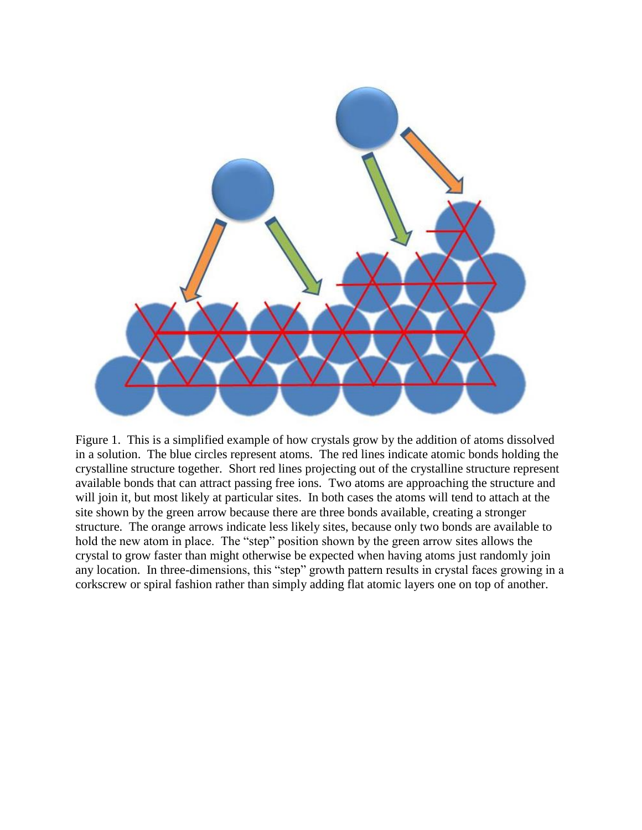

Figure 1. This is a simplified example of how crystals grow by the addition of atoms dissolved in a solution. The blue circles represent atoms. The red lines indicate atomic bonds holding the crystalline structure together. Short red lines projecting out of the crystalline structure represent available bonds that can attract passing free ions. Two atoms are approaching the structure and will join it, but most likely at particular sites. In both cases the atoms will tend to attach at the site shown by the green arrow because there are three bonds available, creating a stronger structure. The orange arrows indicate less likely sites, because only two bonds are available to hold the new atom in place. The "step" position shown by the green arrow sites allows the crystal to grow faster than might otherwise be expected when having atoms just randomly join any location. In three-dimensions, this "step" growth pattern results in crystal faces growing in a corkscrew or spiral fashion rather than simply adding flat atomic layers one on top of another.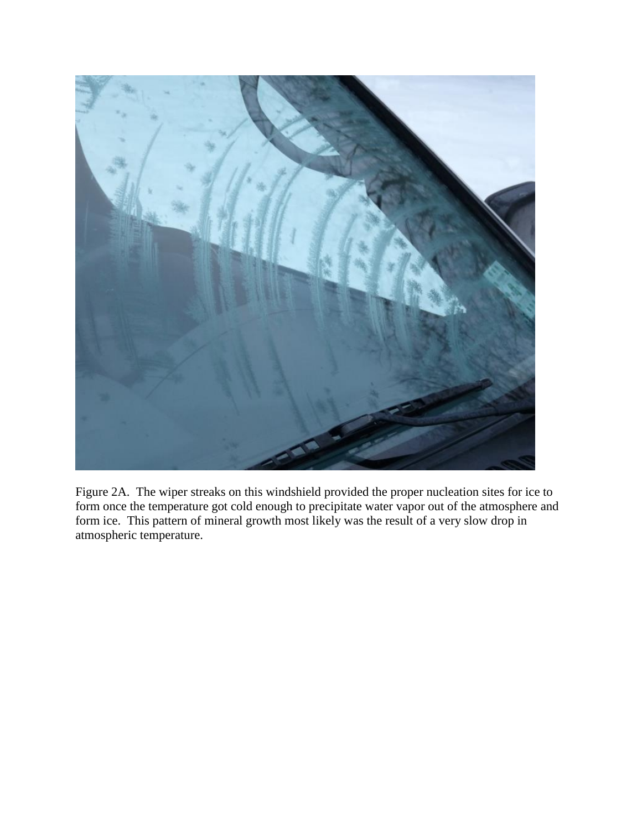

Figure 2A. The wiper streaks on this windshield provided the proper nucleation sites for ice to form once the temperature got cold enough to precipitate water vapor out of the atmosphere and form ice. This pattern of mineral growth most likely was the result of a very slow drop in atmospheric temperature.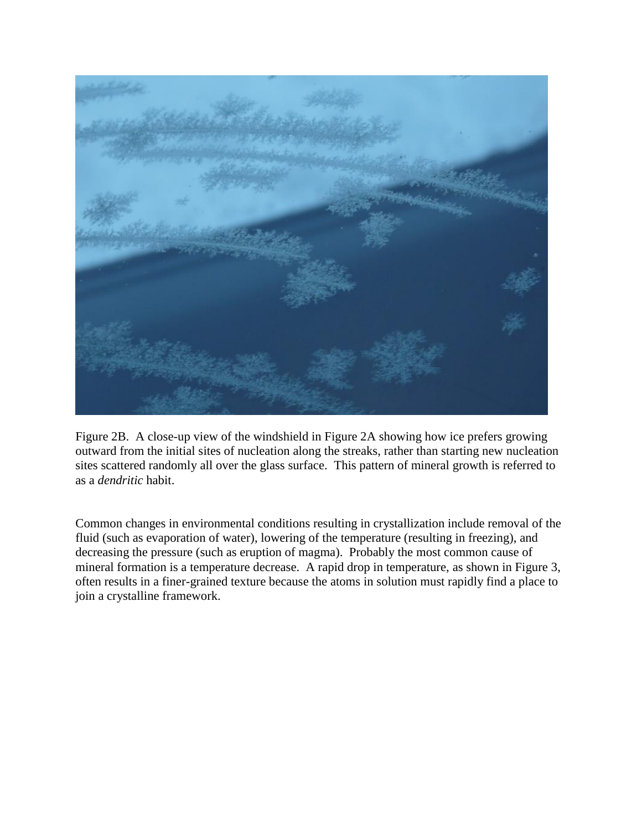

Figure 2B. A close-up view of the windshield in Figure 2A showing how ice prefers growing outward from the initial sites of nucleation along the streaks, rather than starting new nucleation sites scattered randomly all over the glass surface. This pattern of mineral growth is referred to as a *dendritic* habit.

Common changes in environmental conditions resulting in crystallization include removal of the fluid (such as evaporation of water), lowering of the temperature (resulting in freezing), and decreasing the pressure (such as eruption of magma). Probably the most common cause of mineral formation is a temperature decrease. A rapid drop in temperature, as shown in Figure 3, often results in a finer-grained texture because the atoms in solution must rapidly find a place to join a crystalline framework.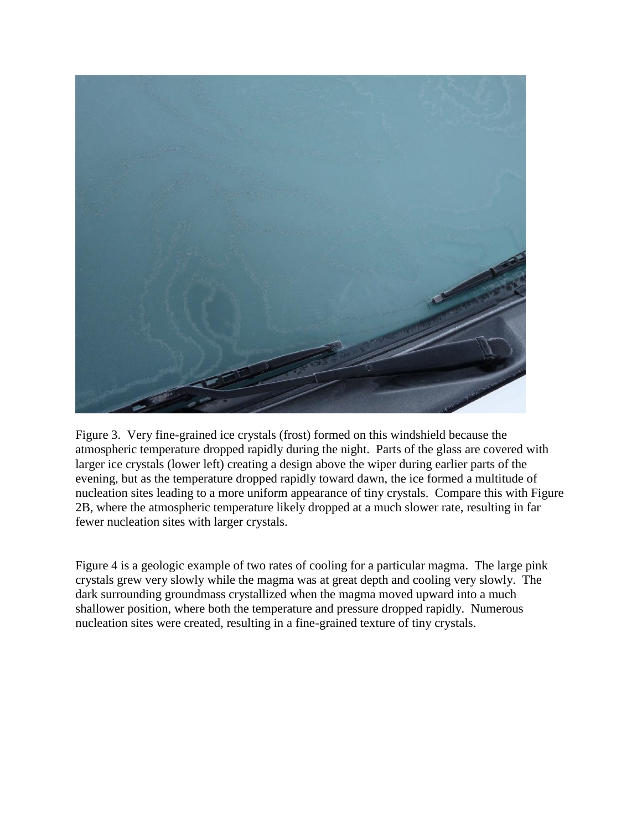

Figure 3. Very fine-grained ice crystals (frost) formed on this windshield because the atmospheric temperature dropped rapidly during the night. Parts of the glass are covered with larger ice crystals (lower left) creating a design above the wiper during earlier parts of the evening, but as the temperature dropped rapidly toward dawn, the ice formed a multitude of nucleation sites leading to a more uniform appearance of tiny crystals. Compare this with Figure 2B, where the atmospheric temperature likely dropped at a much slower rate, resulting in far fewer nucleation sites with larger crystals.

Figure 4 is a geologic example of two rates of cooling for a particular magma. The large pink crystals grew very slowly while the magma was at great depth and cooling very slowly. The dark surrounding groundmass crystallized when the magma moved upward into a much shallower position, where both the temperature and pressure dropped rapidly. Numerous nucleation sites were created, resulting in a fine-grained texture of tiny crystals.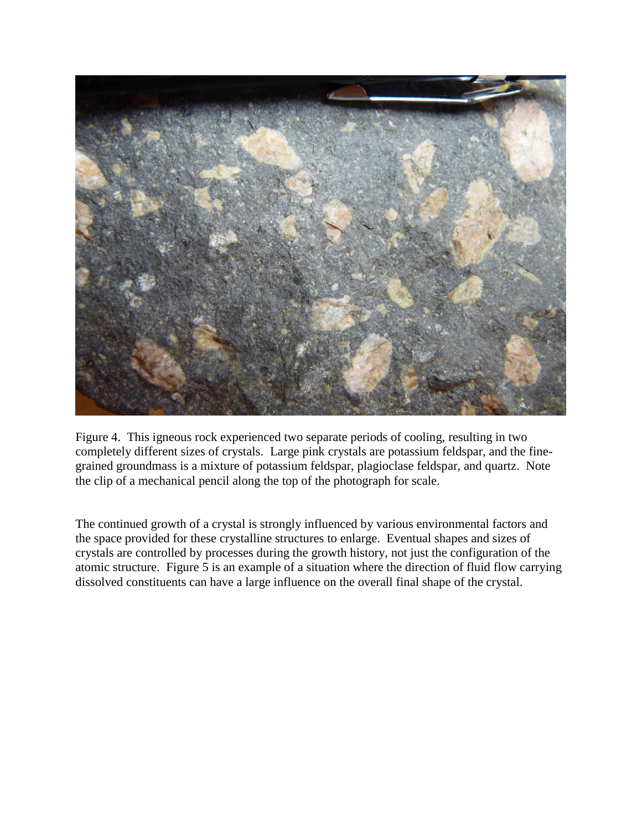

Figure 4. This igneous rock experienced two separate periods of cooling, resulting in two completely different sizes of crystals. Large pink crystals are potassium feldspar, and the finegrained groundmass is a mixture of potassium feldspar, plagioclase feldspar, and quartz. Note the clip of a mechanical pencil along the top of the photograph for scale.

The continued growth of a crystal is strongly influenced by various environmental factors and the space provided for these crystalline structures to enlarge. Eventual shapes and sizes of crystals are controlled by processes during the growth history, not just the configuration of the atomic structure. Figure 5 is an example of a situation where the direction of fluid flow carrying dissolved constituents can have a large influence on the overall final shape of the crystal.